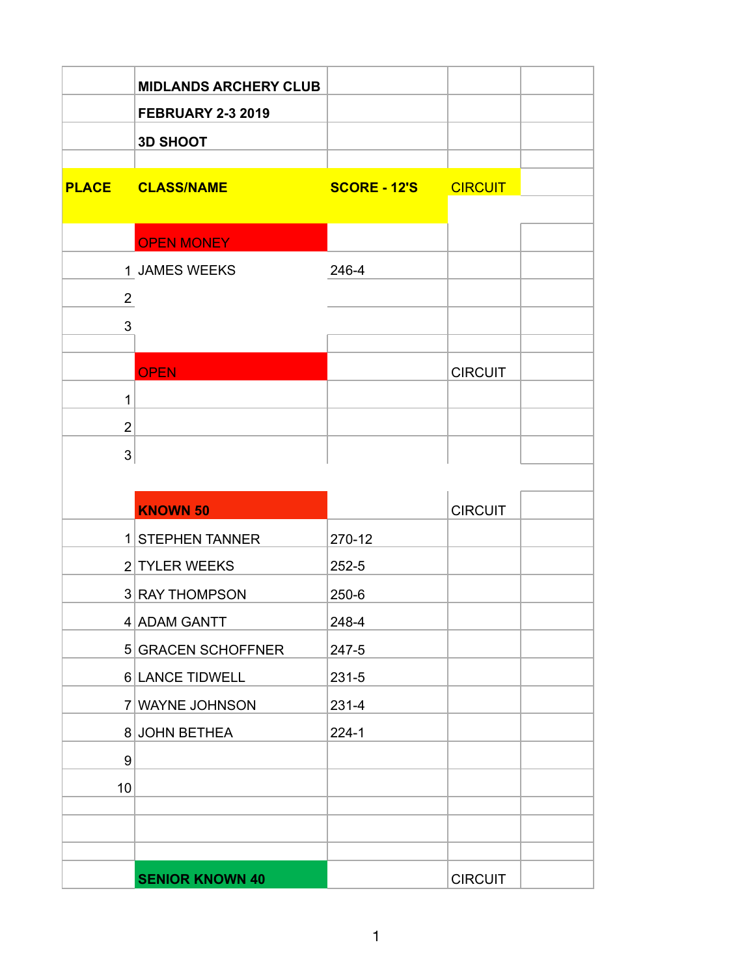|                | <b>MIDLANDS ARCHERY CLUB</b><br><b>FEBRUARY 2-3 2019</b><br><b>3D SHOOT</b> |                             |                |
|----------------|-----------------------------------------------------------------------------|-----------------------------|----------------|
|                | <b>PLACE CLASS/NAME</b>                                                     | <b>SCORE - 12'S CIRCUIT</b> |                |
|                | <b>OPEN MONEY</b>                                                           |                             |                |
|                | 1 JAMES WEEKS                                                               | 246-4                       |                |
| $\overline{2}$ |                                                                             |                             |                |
| $\mathfrak{S}$ |                                                                             |                             |                |
|                |                                                                             |                             |                |
| 1              | <b>OPEN</b>                                                                 |                             | <b>CIRCUIT</b> |
| $\overline{2}$ |                                                                             |                             |                |
| 3              |                                                                             |                             |                |
|                |                                                                             |                             |                |
|                | <b>KNOWN 50</b>                                                             |                             | <b>CIRCUIT</b> |
|                | 1 STEPHEN TANNER                                                            | 270-12                      |                |
|                | 2 TYLER WEEKS                                                               | $252 - 5$                   |                |
|                | 3 RAY THOMPSON                                                              | $250 - 6$                   |                |
|                | 4 ADAM GANTT                                                                | 248-4                       |                |
|                | 5 GRACEN SCHOFFNER                                                          | 247-5                       |                |
|                | 6 LANCE TIDWELL                                                             | $231 - 5$                   |                |
|                | 7 WAYNE JOHNSON                                                             | $231 - 4$                   |                |
|                | 8 JOHN BETHEA                                                               | $224 - 1$                   |                |
| 9              |                                                                             |                             |                |
| 10             |                                                                             |                             |                |
|                |                                                                             |                             |                |
|                |                                                                             |                             |                |
|                | <b>SENIOR KNOWN 40</b>                                                      |                             | <b>CIRCUIT</b> |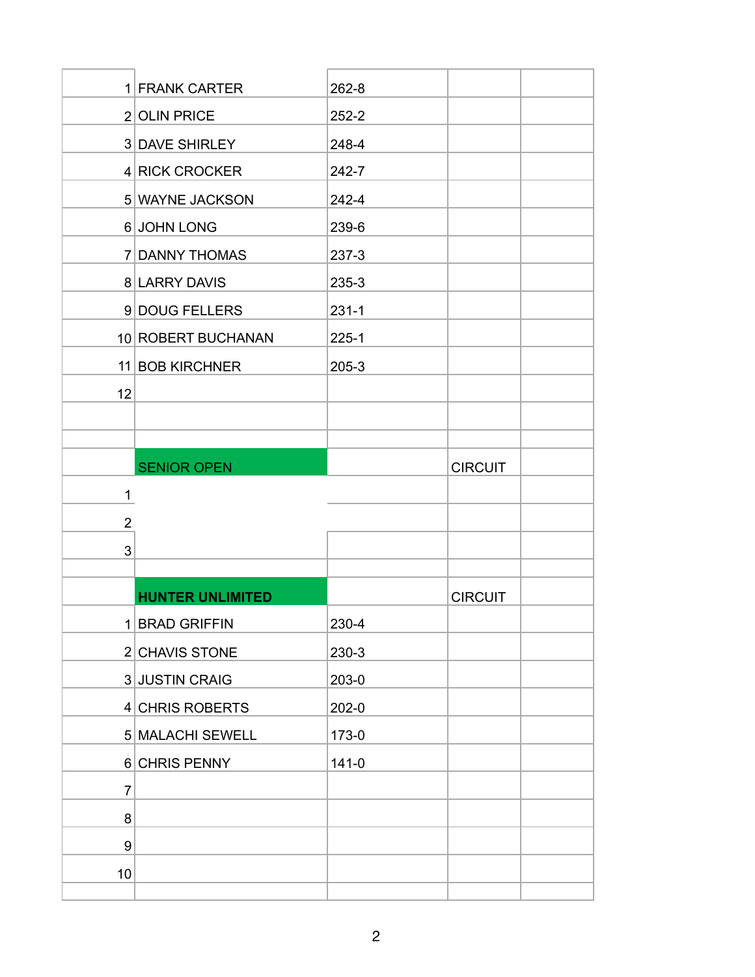|                | 1 FRANK CARTER          | $262 - 8$ |                |
|----------------|-------------------------|-----------|----------------|
|                | 2 OLIN PRICE            | $252 - 2$ |                |
|                | 3 DAVE SHIRLEY          | 248-4     |                |
|                | 4 RICK CROCKER          | 242-7     |                |
|                | 5 WAYNE JACKSON         | 242-4     |                |
|                | 6 JOHN LONG             | 239-6     |                |
|                | 7 DANNY THOMAS          | $237 - 3$ |                |
|                | 8 LARRY DAVIS           | 235-3     |                |
|                | 9 DOUG FELLERS          | $231 - 1$ |                |
|                | 10 ROBERT BUCHANAN      | $225 - 1$ |                |
|                | 11 BOB KIRCHNER         | $205 - 3$ |                |
| 12             |                         |           |                |
|                |                         |           |                |
|                |                         |           |                |
|                | <b>SENIOR OPEN</b>      |           | <b>CIRCUIT</b> |
|                |                         |           |                |
| 1              |                         |           |                |
| $\overline{2}$ |                         |           |                |
| 3              |                         |           |                |
|                |                         |           |                |
|                | <b>HUNTER UNLIMITED</b> |           | <b>CIRCUIT</b> |
|                | 1 BRAD GRIFFIN          | 230-4     |                |
|                | 2 CHAVIS STONE          | 230-3     |                |
|                | 3 JUSTIN CRAIG          | $203-0$   |                |
|                | 4 CHRIS ROBERTS         | $202 - 0$ |                |
|                | 5 MALACHI SEWELL        | 173-0     |                |
|                | 6 CHRIS PENNY           | $141 - 0$ |                |
| 7              |                         |           |                |
| 8              |                         |           |                |
| 9<br>10        |                         |           |                |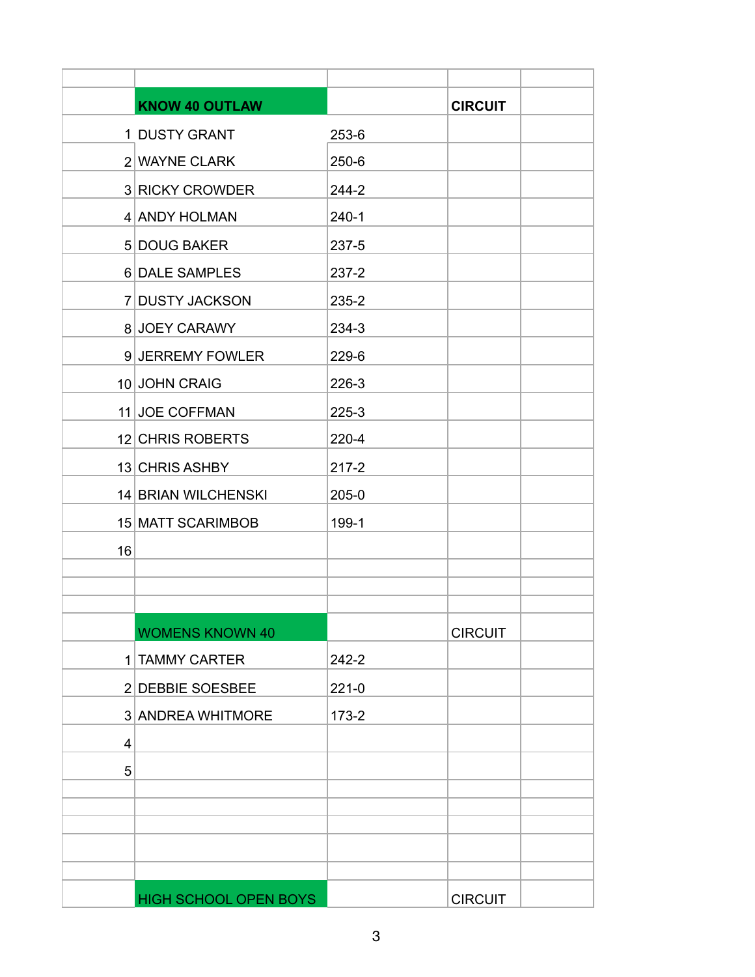|    | <b>KNOW 40 OUTLAW</b>        |           | <b>CIRCUIT</b> |
|----|------------------------------|-----------|----------------|
|    | 1 DUSTY GRANT                | 253-6     |                |
|    | 2 WAYNE CLARK                | $250 - 6$ |                |
|    | 3 RICKY CROWDER              | 244-2     |                |
|    | 4 ANDY HOLMAN                | $240-1$   |                |
|    | 5 DOUG BAKER                 | 237-5     |                |
|    | 6 DALE SAMPLES               | $237 - 2$ |                |
|    | 7 DUSTY JACKSON              | 235-2     |                |
|    | 8 JOEY CARAWY                | 234-3     |                |
|    | 9 JERREMY FOWLER             | 229-6     |                |
|    | 10 JOHN CRAIG                | 226-3     |                |
|    | 11 JOE COFFMAN               | $225-3$   |                |
|    | 12 CHRIS ROBERTS             | $220 - 4$ |                |
|    | 13 CHRIS ASHBY               | $217 - 2$ |                |
|    | 14 BRIAN WILCHENSKI          | $205 - 0$ |                |
|    | 15 MATT SCARIMBOB            | 199-1     |                |
| 16 |                              |           |                |
|    |                              |           |                |
|    |                              |           |                |
|    | <b>WOMENS KNOWN 40</b>       |           | <b>CIRCUIT</b> |
|    | 1 TAMMY CARTER               | $242 - 2$ |                |
|    | 2 DEBBIE SOESBEE             | $221 - 0$ |                |
|    | 3 ANDREA WHITMORE            | $173 - 2$ |                |
| 4  |                              |           |                |
| 5  |                              |           |                |
|    |                              |           |                |
|    |                              |           |                |
|    |                              |           |                |
|    |                              |           |                |
|    | <b>HIGH SCHOOL OPEN BOYS</b> |           | <b>CIRCUIT</b> |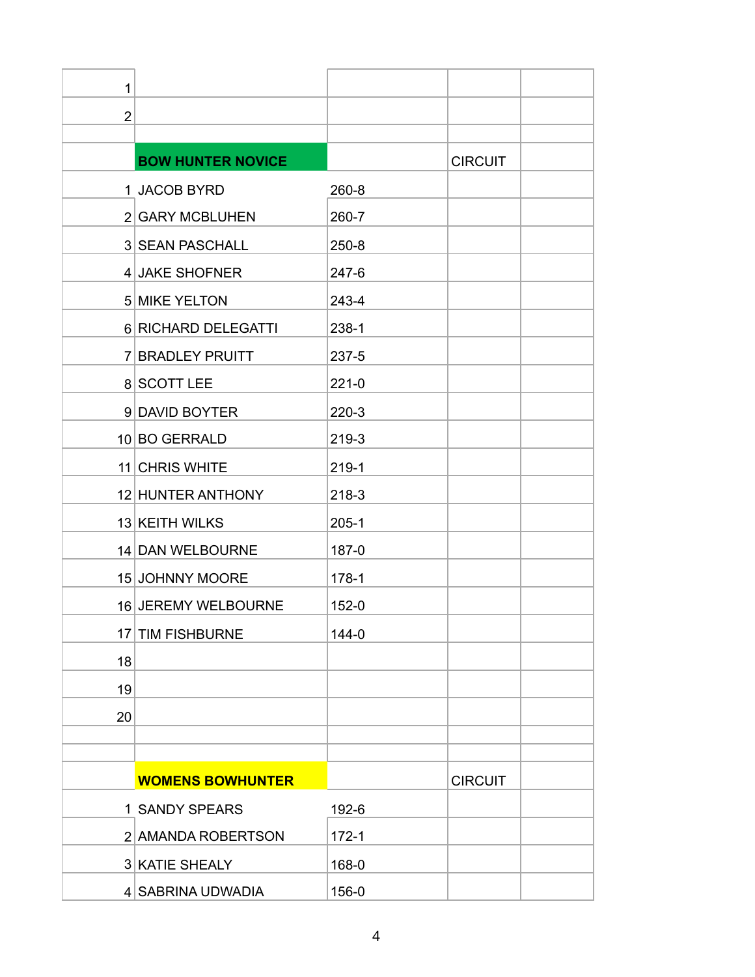| 1              |                          |           |                |
|----------------|--------------------------|-----------|----------------|
| $\overline{2}$ |                          |           |                |
|                |                          |           |                |
|                | <b>BOW HUNTER NOVICE</b> |           | <b>CIRCUIT</b> |
|                | 1 JACOB BYRD             | 260-8     |                |
|                | 2 GARY MCBLUHEN          | 260-7     |                |
|                | <b>3 SEAN PASCHALL</b>   | $250 - 8$ |                |
|                | 4 JAKE SHOFNER           | 247-6     |                |
|                | 5 MIKE YELTON            | 243-4     |                |
|                | 6 RICHARD DELEGATTI      | $238-1$   |                |
|                | 7 BRADLEY PRUITT         | 237-5     |                |
|                | 8 SCOTT LEE              | $221 - 0$ |                |
|                | 9 DAVID BOYTER           | $220-3$   |                |
|                | 10 BO GERRALD            | 219-3     |                |
|                | 11 CHRIS WHITE           | 219-1     |                |
|                | 12 HUNTER ANTHONY        | 218-3     |                |
|                | 13 KEITH WILKS           | $205 - 1$ |                |
|                | 14 DAN WELBOURNE         | $187 - 0$ |                |
|                | 15 JOHNNY MOORE          | $178 - 1$ |                |
|                | 16 JEREMY WELBOURNE      | $152 - 0$ |                |
|                | 17 TIM FISHBURNE         | $144 - 0$ |                |
| 18             |                          |           |                |
| 19             |                          |           |                |
| 20             |                          |           |                |
|                |                          |           |                |
|                | <b>WOMENS BOWHUNTER</b>  |           | <b>CIRCUIT</b> |
|                | 1 SANDY SPEARS           | 192-6     |                |
|                | 2 AMANDA ROBERTSON       | $172 - 1$ |                |
|                | 3 KATIE SHEALY           | 168-0     |                |
|                |                          |           |                |
|                | 4 SABRINA UDWADIA        | 156-0     |                |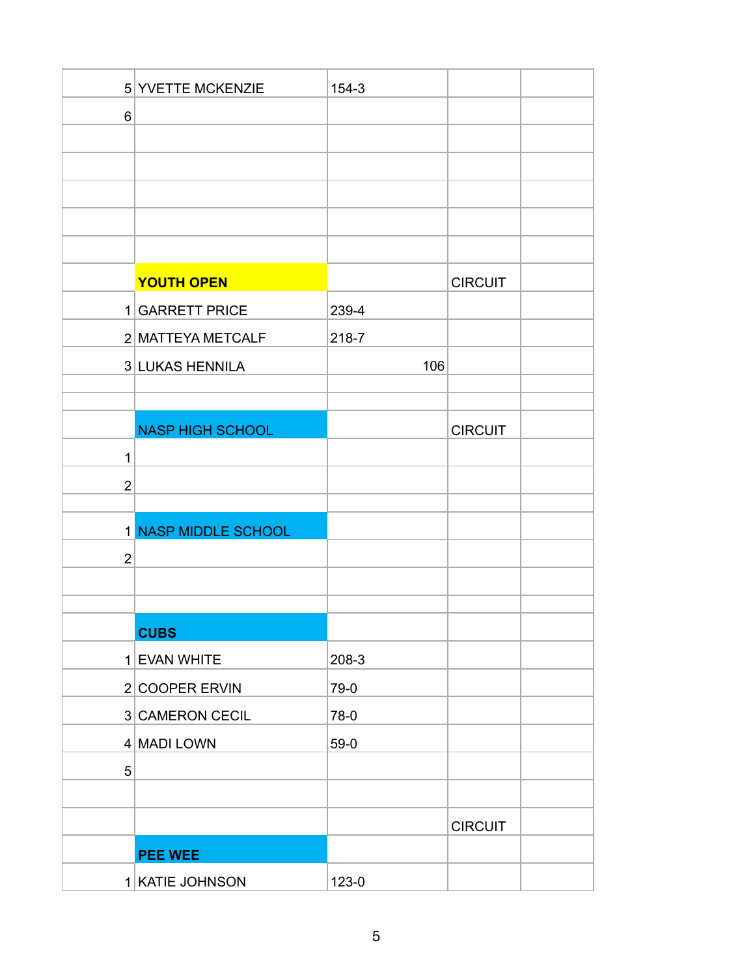|                | 5 YVETTE MCKENZIE       | $154 - 3$ |                |
|----------------|-------------------------|-----------|----------------|
| 6              |                         |           |                |
|                |                         |           |                |
|                |                         |           |                |
|                |                         |           |                |
|                |                         |           |                |
|                |                         |           |                |
|                | <b>YOUTH OPEN</b>       |           | <b>CIRCUIT</b> |
|                | 1 GARRETT PRICE         | 239-4     |                |
|                | 2 MATTEYA METCALF       | 218-7     |                |
|                | 3 LUKAS HENNILA         | 106       |                |
|                |                         |           |                |
|                | <b>NASP HIGH SCHOOL</b> |           | <b>CIRCUIT</b> |
| 1              |                         |           |                |
| $\overline{2}$ |                         |           |                |
|                |                         |           |                |
|                | 1 NASP MIDDLE SCHOOL    |           |                |
| $\overline{2}$ |                         |           |                |
|                |                         |           |                |
|                |                         |           |                |
|                | <b>CUBS</b>             |           |                |
|                | 1 EVAN WHITE            | $208-3$   |                |
|                | 2 COOPER ERVIN          | 79-0      |                |
|                | 3 CAMERON CECIL         | 78-0      |                |
|                | 4 MADI LOWN             | $59-0$    |                |
| 5              |                         |           |                |
|                |                         |           |                |
|                |                         |           | <b>CIRCUIT</b> |
|                | <b>PEE WEE</b>          |           |                |
|                | 1 KATIE JOHNSON         | 123-0     |                |